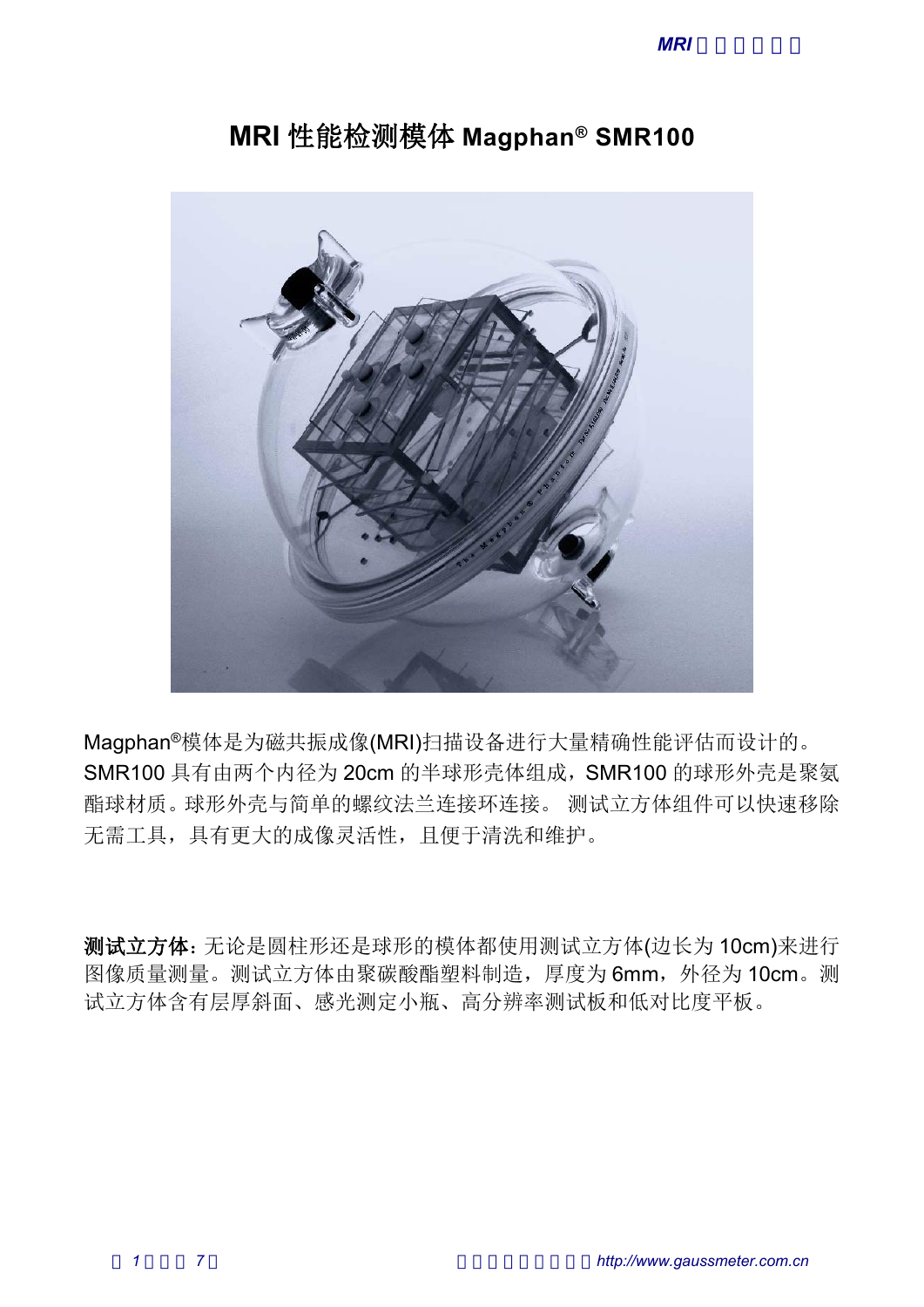

# **MRI** 性能检测模体 **Magphan® SMR100**

Magphan®模体是为磁共振成像(MRI)扫描设备进行大量精确性能评估而设计的。 SMR100 具有由两个内径为 20cm 的半球形壳体组成,SMR100 的球形外壳是聚氨 无需工具,具有更大的成像灵活性,且便于清洗和维护。

测试立方体:无论是圆柱形还是球形的模体都使用测试立方体(边长为 10cm)来进行 图像质量测量。测试立方体由聚碳酸酯塑料制造,厚度为 6mm,外径为 10cm。测 试立方体含有层厚斜面、感光测定小瓶、高分辨率测试板和低对比度平板。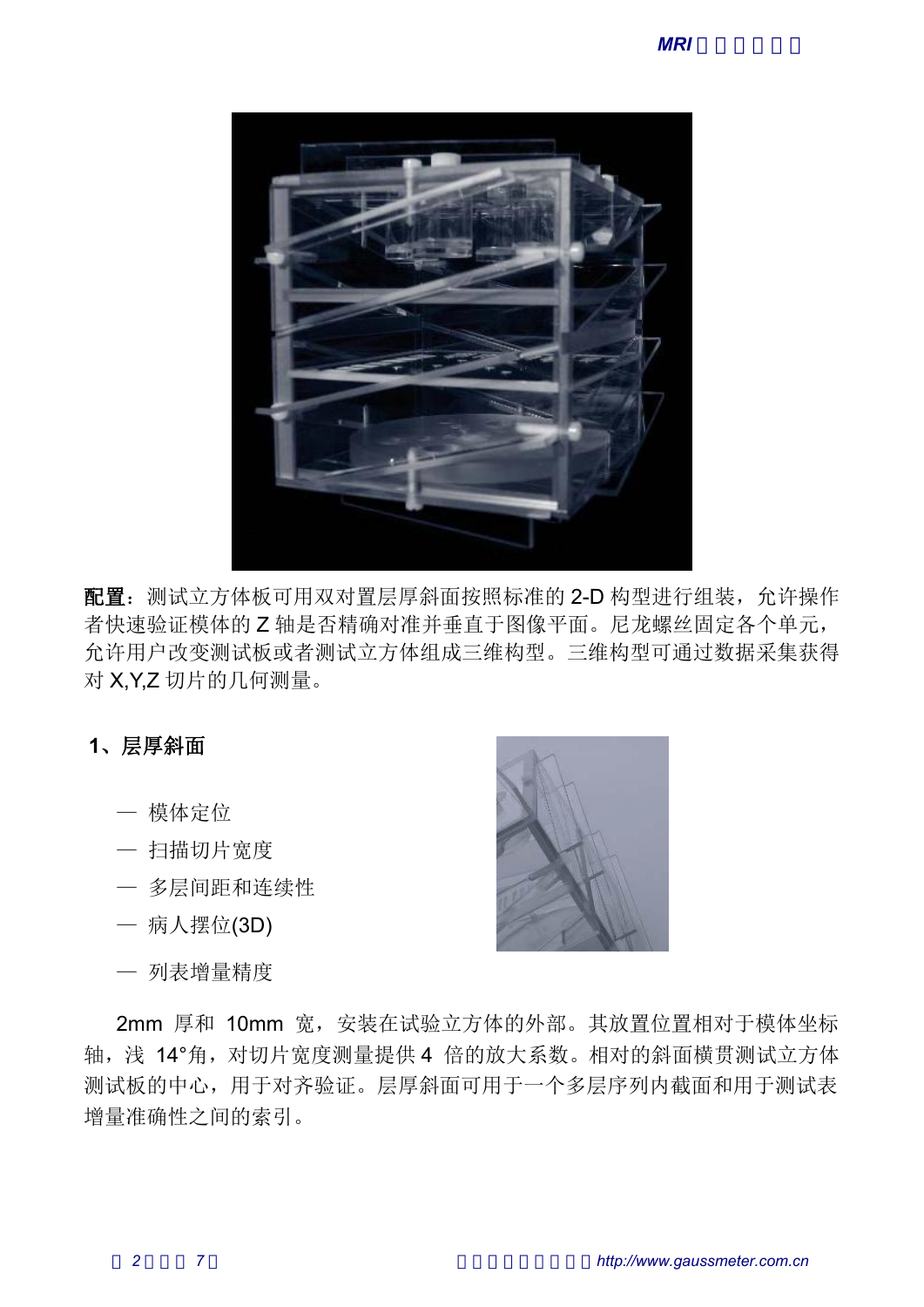

配置: 测试立方体板可用双对置层厚斜面按照标准的 2-D 构型进行组装, 允许操作 者快速验证模体的 Z 轴是否精确对准并垂直于图像平面。尼龙螺丝固定各个单元, 允许用户改变测试板或者测试立方体组成三维构型。三维构型可通过数据采集获得 对 X,Y,Z 切片的几何测量。 — 模体定位 【:测试立方体板可用双对置层厚斜面按照标准的 2-D 构型进入速验证模体的 Z 轴是否精确对准并垂直于图像平面。尼龙螺<br>F用户改变测试板或者测试立方体组成三维构型。三维构型可<br>K,Y,Z 切片的几何测量。<br><br>【 厚斜面<br>一 模体定位<br>一 扫描切片宽度<br>一 多层间距和连续性 【: 测试立方体板可用双对置层厚斜面按照标准的 2-D 构型进行组<br>特速验证模体的 Z 轴是否精确对准并垂直于图像平面。尼龙螺丝固<br>F用户改变测试板或者测试立方体组成三维构型。三维构型可通过<br>K,Y,Z 切片的几何测量。<br><br>— 模体定位<br>— 多层间距和连续性<br>— 多层间距和连续性<br>— 多层间距和连续性 【:测试立方体板可用双对置层厚斜面按照标准的<br>快速验证模体的 Z 轴是否精确对准并垂直于图像平<br>F用户改变测试板或者测试立方体组成三维构型。<br>K,Y,Z 切片的几何测量。<br><br>人文<br> / 模体定位<br>一 扫描切片宽度<br>一 多层间距和连续性<br>一 多层间距和连续性<br>一 多层间距和连续性<br>一 多层间距和连续性

# **1**、层厚斜面

- 
- 
- 
- 
- 



2mm 厚和 10mm 宽,安装在试验立方体的外部。其放置位置相对于模体坐标 轴, 浅 14°角, 对切片宽度测量提供 4 倍的放大系数。相对的斜面横贯测试立方体 测试板的中心,用于对齐验证。层厚斜面可用于一个多层序列内截面和用于测试表 增量准确性之间的索引。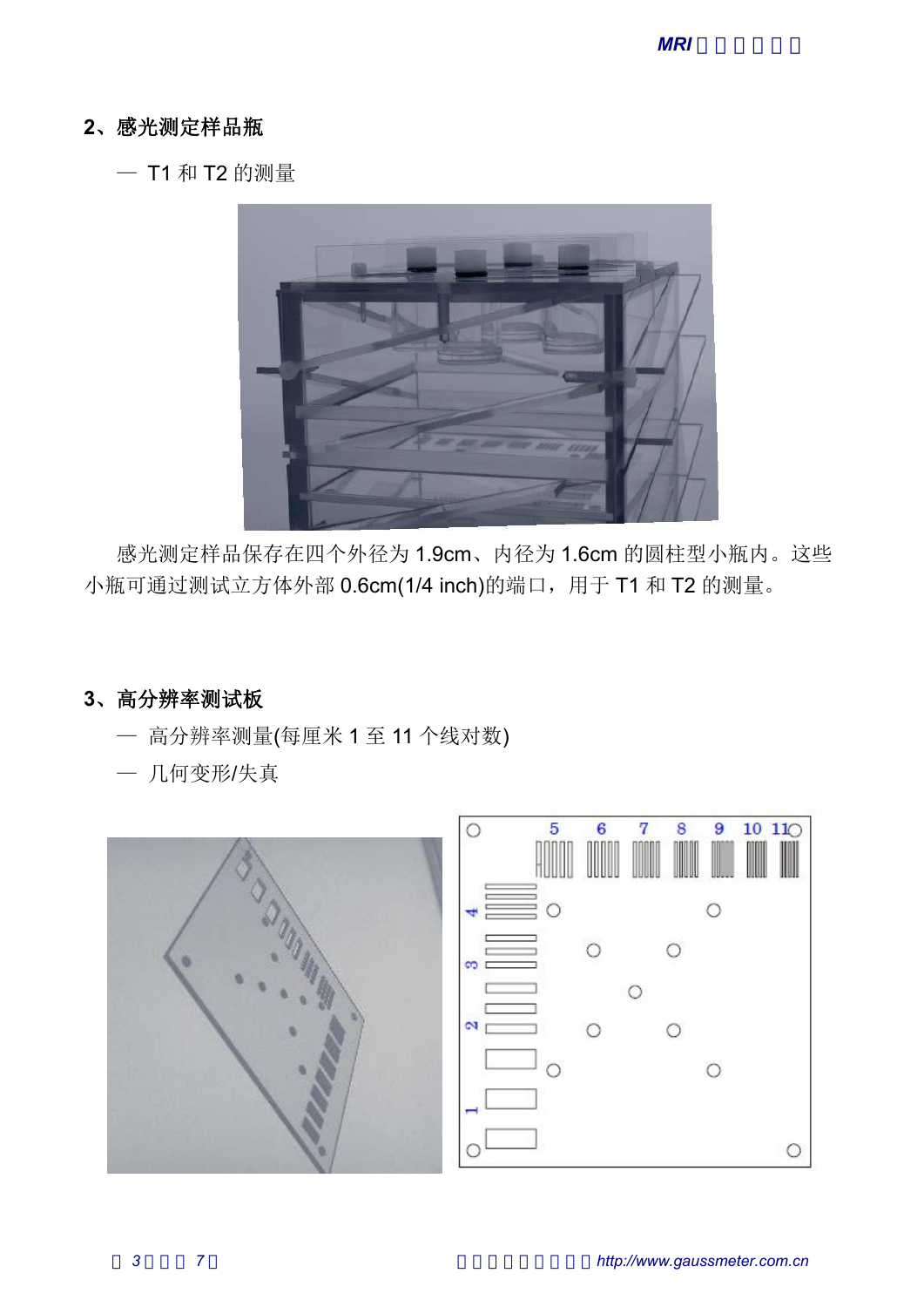# **2**、感光测定样品瓶

— T1 和 T2 的测量



感光测定样品保存在四个外径为 1.9cm、内径为 1.6cm 的圆柱型小瓶内。这些

### **3**、高分辨率测试板

- 
- 

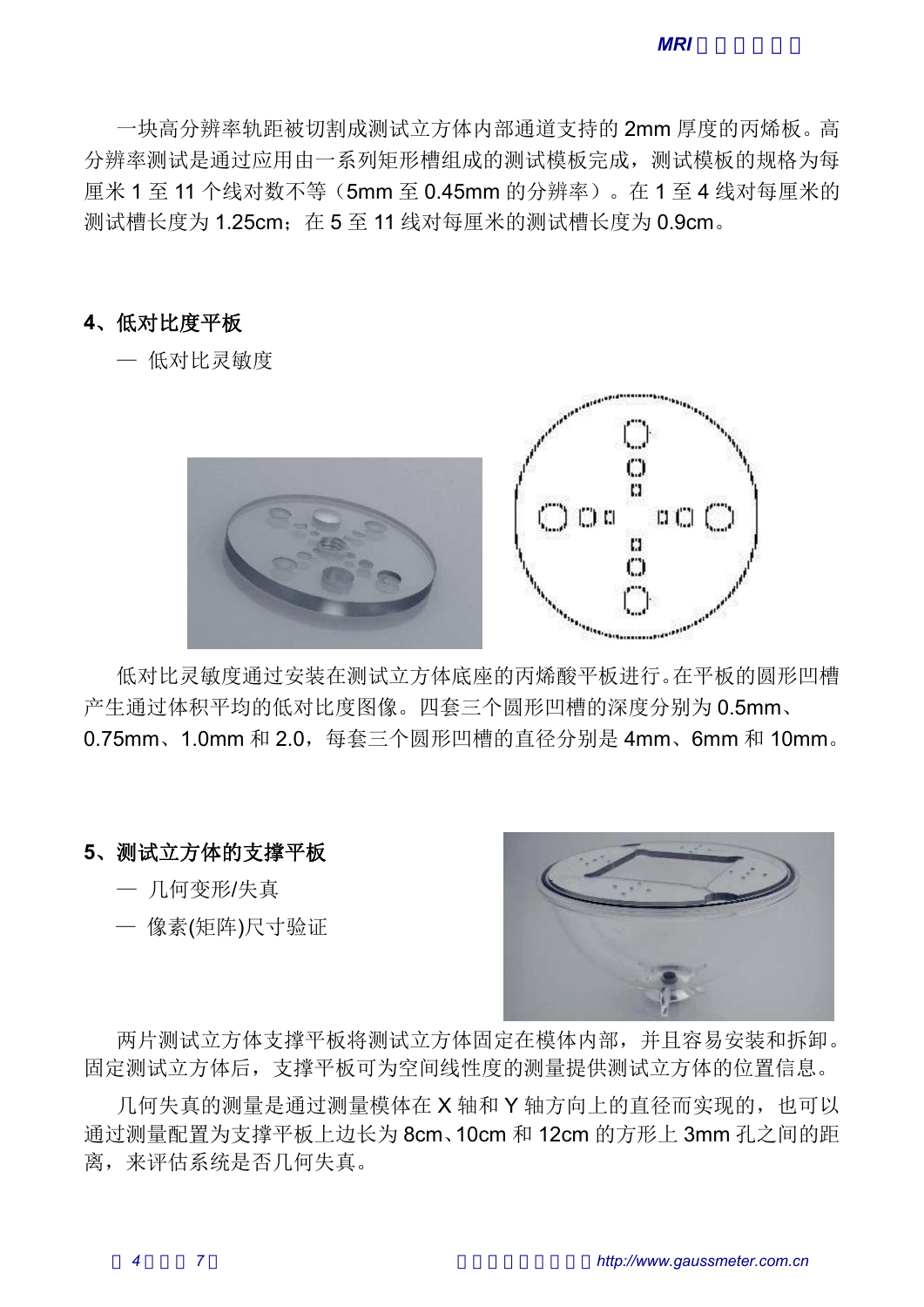一块高分辨率轨距被切割成测试立方体内部通道支持的 2mm 厚度的丙烯板。高 分辨率测试是通过应用由一系列矩形槽组成的测试模板完成,测试模板的规格为每 厘米 1 至 11 个线对数不等(5mm 至 0.45mm 的分辨率)。在 1 至 4 线对每厘米的 测试槽长度为 1.25cm; 在 5 至 11 线对每厘米的测试槽长度为 0.9cm。 —块高分辨率轨距被切割成测试立方体内部通道支持的 2mm<br><br>#率测试是通过应用由一系列矩形槽组成的测试模板完成,测<br><br>< 1 至 11 个线对数不等 (5mm 至 0.45mm 的分辨率 ) 。在 1<br><槽长度为 1.25cm;在 5 至 11 线对每厘米的测试槽长度为 0<br>低对比度平板<br>— 低对比灵敏度

#### **4**、低对比度平板



低对比灵敏度通过安装在测试立方体底座的丙烯酸平板进行。在平板的圆形凹槽 产生通过体积平均的低对比度图像。四套三个圆形凹槽的深度分别为 0.5mm、 0.75mm、1.0mm 和 2.0,每套三个圆形凹槽的直径分别是 4mm、6mm 和 10mm。 — 像素(矩阵)尺寸验证

#### **5**、测试立方体的支撑平板

- 
- 



两片测试立方体支撑平板将测试立方体固定在模体内部,并且容易安装和拆卸。 固定测试立方体后,支撑平板可为空间线性度的测量提供测试立方体的位置信息。

几何失真的测量是通过测量模体在 X 轴和 Y 轴方向上的直径而实现的, 也可以 通过测量配置为支撑平板上边长为 8cm、10cm 和 12cm 的方形上 3mm 孔之间的距 离,来评估系统是否几何失真。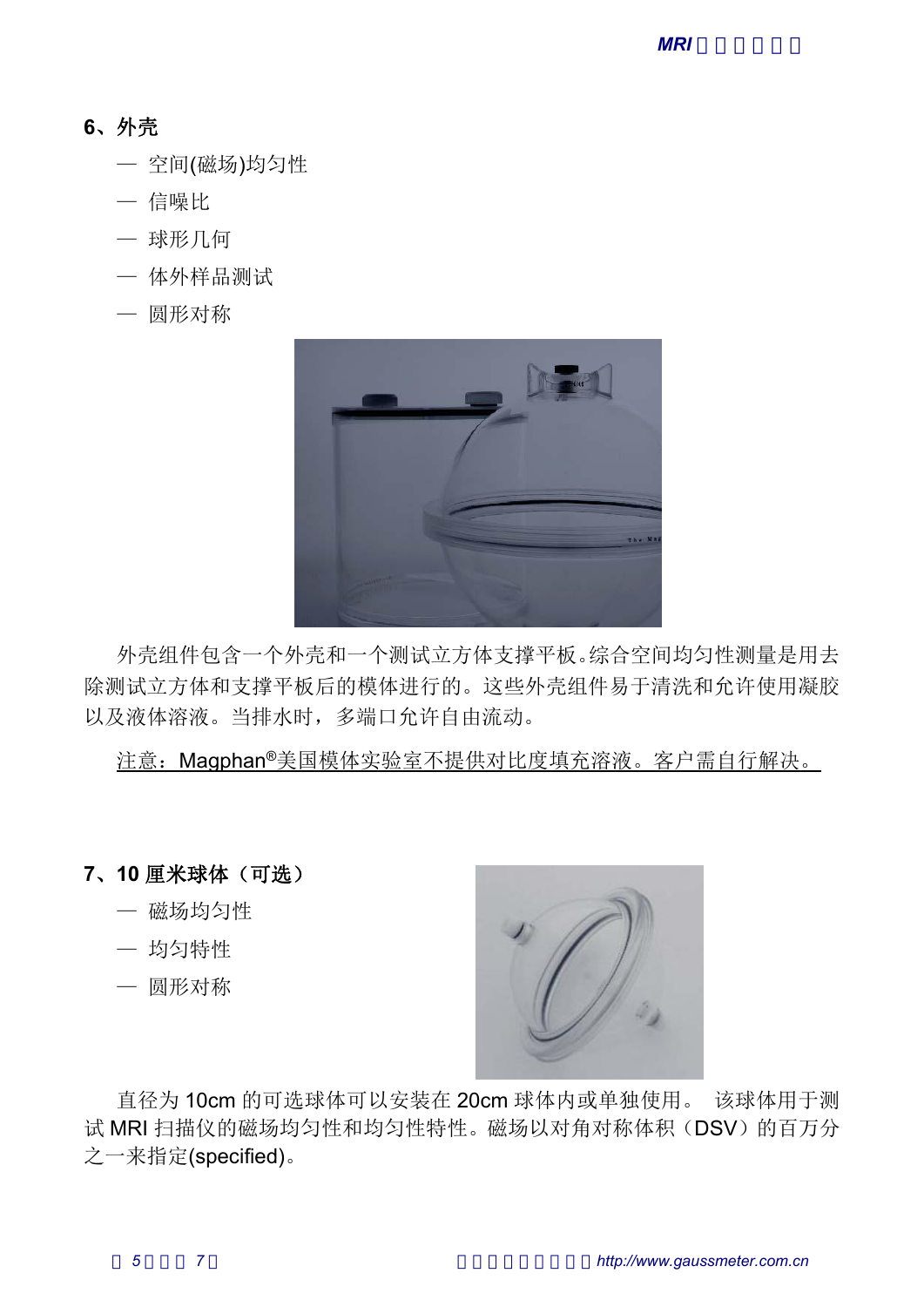# **6**、外壳

- 外壳<br>一 空间(磁场)均匀性<br>一 空间(磁场)均匀性<br>一 信噪比 外壳<br>一 空间(磁场)均匀性<br>一 信噪比<br>一 球形几何 外壳<br>— 空间(磁场)均匀性<br>— 信噪比<br>— 球形几何<br>— 体外样品测试
- 
- 
- 
- 



外壳组件包含一个外壳和一个测试立方体支撑平板。综合空间均匀性测量是用去 除测试立方体和支撑平板后的模体进行的。这些外壳组件易于清洗和允许使用凝胶 以及液体溶液。当排水时,多端口允许自由流动。 外壳组件包含一个外壳和一个测试立方体支撑平板。综合空间试立方体和支撑平板后的模体进行的。这些外壳组件易于<br>2液体溶液。当排水时,多端口允许自由流动。<br>注意:Magphan®美国模体实验室不提供对比度填充溶液。注意:Magphan®美国模体实验室不提供对比度填充溶液。<br>10 厘米球体(可选)<br>一 磁场均匀性 外壳组件包含一个外壳和一个测试立方体支撑平板。综合<br>则试立方体和支撑平板后的模体进行的。这些外壳组件易<br><br>注意:Magphan®美国模体实验室不提供对比度填充溶液<br>注意:Magphan®美国模体实验室不提供对比度填充溶液<br>一 磁场均匀性<br>一 做场均匀性<br>一 场匀特性 外壳组件包含一个外壳和一个测试立方体支撑平板。综合则试立方体和支撑平板后的模体进行的。这些外壳组件易<br><br><br><br><br><br>没液体溶液。当排水时,多端口允许自由流动。<br>注意:Magphan®美国模体实验室不提供对比度填充溶液<br>注意:Magphan®美国模体实验室不提供对比度填充溶液<br><br>一 磁场均匀性<br>一 烟形对称

注意:Magphan®美国模体实验室不提供对比度填充溶液。客户需自行解决。

**7**、**10** 厘米球体(可选)

- 
- 
- 



试 MRI 扫描仪的磁场均匀性和均匀性特性。磁场以对角对称体积(DSV)的百万分 之一来指定(specified)。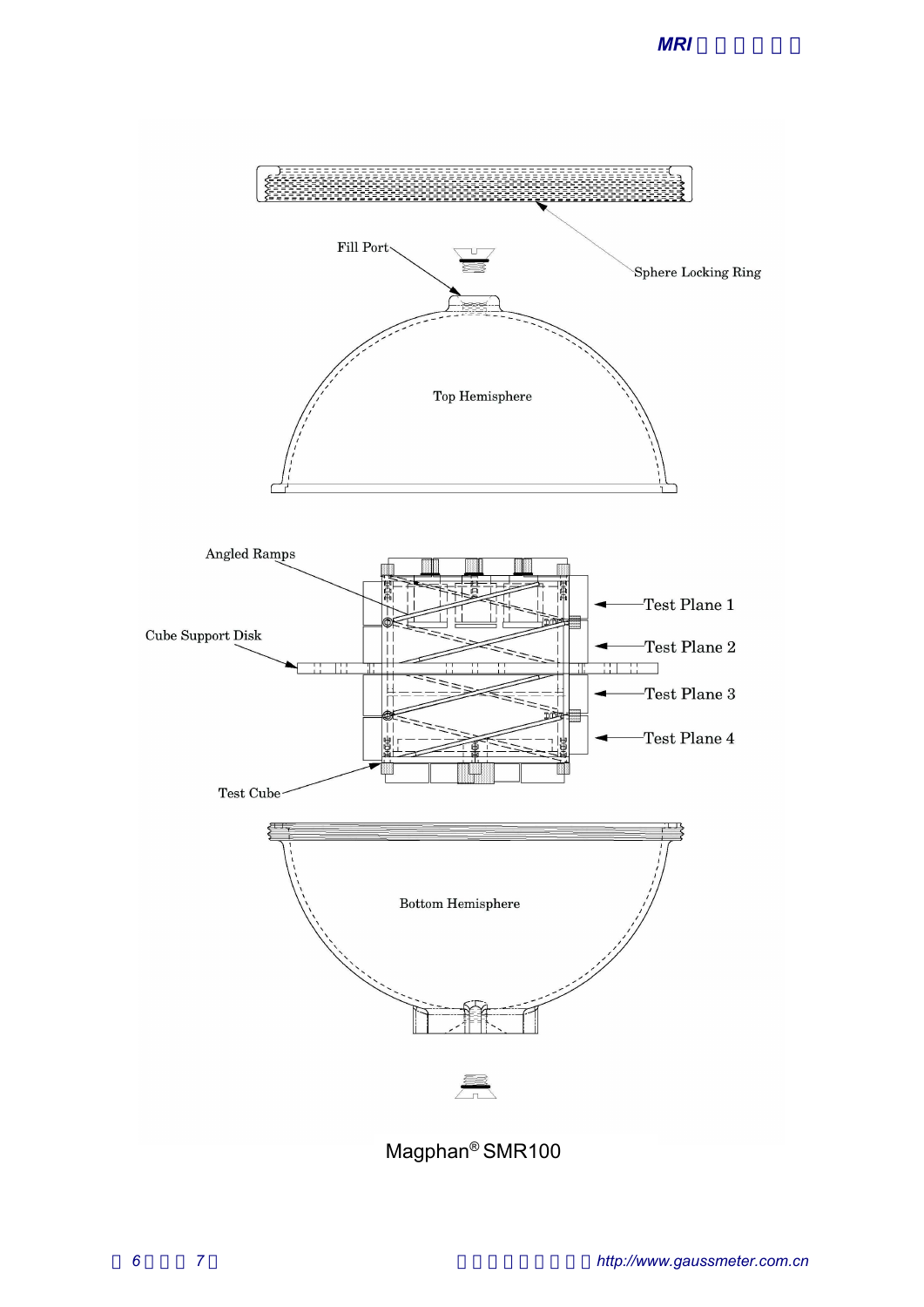



Magphan® SMR100